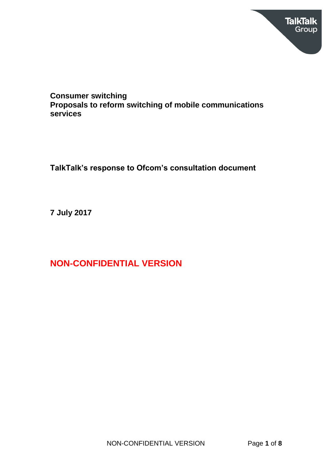

# **Consumer switching Proposals to reform switching of mobile communications services**

**TalkTalk's response to Ofcom's consultation document**

**7 July 2017**

**NON-CONFIDENTIAL VERSION**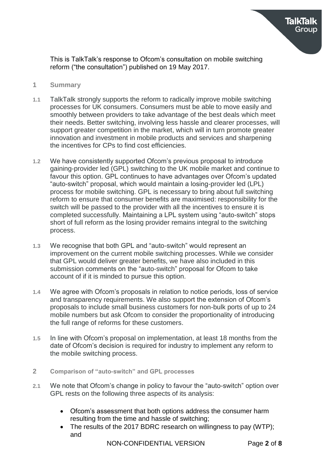

- **1 Summary**
- **1.1** TalkTalk strongly supports the reform to radically improve mobile switching processes for UK consumers. Consumers must be able to move easily and smoothly between providers to take advantage of the best deals which meet their needs. Better switching, involving less hassle and clearer processes, will support greater competition in the market, which will in turn promote greater innovation and investment in mobile products and services and sharpening the incentives for CPs to find cost efficiencies.
- **1.2** We have consistently supported Ofcom's previous proposal to introduce gaining-provider led (GPL) switching to the UK mobile market and continue to favour this option. GPL continues to have advantages over Ofcom's updated "auto-switch" proposal, which would maintain a losing-provider led (LPL) process for mobile switching. GPL is necessary to bring about full switching reform to ensure that consumer benefits are maximised: responsibility for the switch will be passed to the provider with all the incentives to ensure it is completed successfully. Maintaining a LPL system using "auto-switch" stops short of full reform as the losing provider remains integral to the switching process.
- **1.3** We recognise that both GPL and "auto-switch" would represent an improvement on the current mobile switching processes. While we consider that GPL would deliver greater benefits, we have also included in this submission comments on the "auto-switch" proposal for Ofcom to take account of if it is minded to pursue this option.
- **1.4** We agree with Ofcom's proposals in relation to notice periods, loss of service and transparency requirements. We also support the extension of Ofcom's proposals to include small business customers for non-bulk ports of up to 24 mobile numbers but ask Ofcom to consider the proportionality of introducing the full range of reforms for these customers.
- **1.5** In line with Ofcom's proposal on implementation, at least 18 months from the date of Ofcom's decision is required for industry to implement any reform to the mobile switching process.
- **2 Comparison of "auto-switch" and GPL processes**
- **2.1** We note that Ofcom's change in policy to favour the "auto-switch" option over GPL rests on the following three aspects of its analysis:
	- Ofcom's assessment that both options address the consumer harm resulting from the time and hassle of switching;
	- The results of the 2017 BDRC research on willingness to pay (WTP); and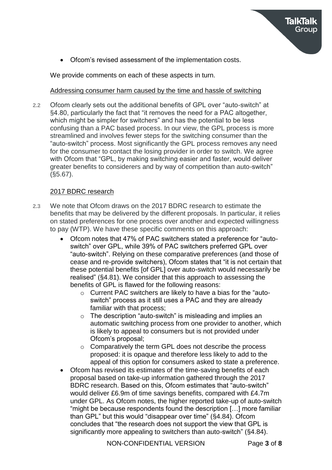Ofcom's revised assessment of the implementation costs.

We provide comments on each of these aspects in turn.

# Addressing consumer harm caused by the time and hassle of switching

**2.2** Ofcom clearly sets out the additional benefits of GPL over "auto-switch" at §4.80, particularly the fact that "it removes the need for a PAC altogether, which might be simpler for switchers" and has the potential to be less confusing than a PAC based process. In our view, the GPL process is more streamlined and involves fewer steps for the switching consumer than the "auto-switch" process. Most significantly the GPL process removes any need for the consumer to contact the losing provider in order to switch. We agree with Ofcom that "GPL, by making switching easier and faster, would deliver greater benefits to considerers and by way of competition than auto-switch" (§5.67).

# 2017 BDRC research

- **2.3** We note that Ofcom draws on the 2017 BDRC research to estimate the benefits that may be delivered by the different proposals. In particular, it relies on stated preferences for one process over another and expected willingness to pay (WTP). We have these specific comments on this approach:
	- Ofcom notes that 47% of PAC switchers stated a preference for "autoswitch" over GPL, while 39% of PAC switchers preferred GPL over "auto-switch". Relying on these comparative preferences (and those of cease and re-provide switchers), Ofcom states that "it is not certain that these potential benefits [of GPL] over auto-switch would necessarily be realised" (§4.81). We consider that this approach to assessing the benefits of GPL is flawed for the following reasons:
		- o Current PAC switchers are likely to have a bias for the "autoswitch" process as it still uses a PAC and they are already familiar with that process;
		- o The description "auto-switch" is misleading and implies an automatic switching process from one provider to another, which is likely to appeal to consumers but is not provided under Ofcom's proposal;
		- o Comparatively the term GPL does not describe the process proposed: it is opaque and therefore less likely to add to the appeal of this option for consumers asked to state a preference.
	- Ofcom has revised its estimates of the time-saving benefits of each proposal based on take-up information gathered through the 2017 BDRC research. Based on this, Ofcom estimates that "auto-switch" would deliver £6.9m of time savings benefits, compared with £4.7m under GPL. As Ofcom notes, the higher reported take-up of auto-switch "might be because respondents found the description […] more familiar than GPL" but this would "disappear over time" (§4.84). Ofcom concludes that "the research does not support the view that GPL is significantly more appealing to switchers than auto-switch" (§4.84).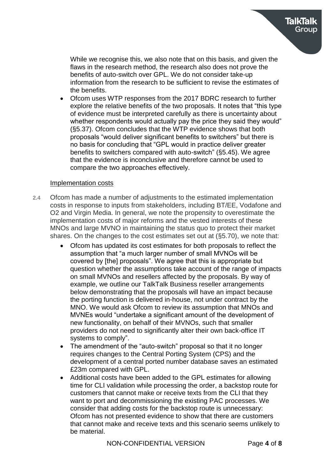While we recognise this, we also note that on this basis, and given the flaws in the research method, the research also does not prove the benefits of auto-switch over GPL. We do not consider take-up information from the research to be sufficient to revise the estimates of the benefits.

 Ofcom uses WTP responses from the 2017 BDRC research to further explore the relative benefits of the two proposals. It notes that "this type of evidence must be interpreted carefully as there is uncertainty about whether respondents would actually pay the price they said they would" (§5.37). Ofcom concludes that the WTP evidence shows that both proposals "would deliver significant benefits to switchers" but there is no basis for concluding that "GPL would in practice deliver greater benefits to switchers compared with auto-switch" (§5.45). We agree that the evidence is inconclusive and therefore cannot be used to compare the two approaches effectively.

#### Implementation costs

- **2.4** Ofcom has made a number of adjustments to the estimated implementation costs in response to inputs from stakeholders, including BT/EE, Vodafone and O2 and Virgin Media. In general, we note the propensity to overestimate the implementation costs of major reforms and the vested interests of these MNOs and large MVNO in maintaining the status quo to protect their market shares. On the changes to the cost estimates set out at (§5.70), we note that:
	- Ofcom has updated its cost estimates for both proposals to reflect the assumption that "a much larger number of small MVNOs will be covered by [the] proposals". We agree that this is appropriate but question whether the assumptions take account of the range of impacts on small MVNOs and resellers affected by the proposals. By way of example, we outline our TalkTalk Business reseller arrangements below demonstrating that the proposals will have an impact because the porting function is delivered in-house, not under contract by the MNO. We would ask Ofcom to review its assumption that MNOs and MVNEs would "undertake a significant amount of the development of new functionality, on behalf of their MVNOs, such that smaller providers do not need to significantly alter their own back-office IT systems to comply".
	- The amendment of the "auto-switch" proposal so that it no longer requires changes to the Central Porting System (CPS) and the development of a central ported number database saves an estimated £23m compared with GPL.
	- Additional costs have been added to the GPL estimates for allowing time for CLI validation while processing the order, a backstop route for customers that cannot make or receive texts from the CLI that they want to port and decommissioning the existing PAC processes. We consider that adding costs for the backstop route is unnecessary: Ofcom has not presented evidence to show that there are customers that cannot make and receive texts and this scenario seems unlikely to be material.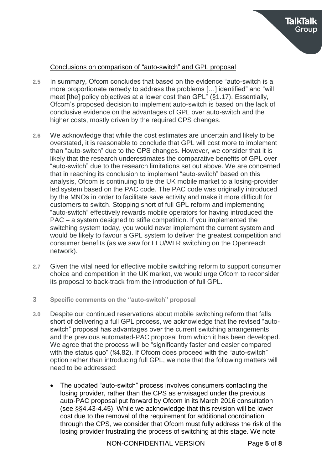

#### Conclusions on comparison of "auto-switch" and GPL proposal

- **2.5** In summary, Ofcom concludes that based on the evidence "auto-switch is a more proportionate remedy to address the problems […] identified" and "will meet [the] policy objectives at a lower cost than GPL" (§1.17). Essentially, Ofcom's proposed decision to implement auto-switch is based on the lack of conclusive evidence on the advantages of GPL over auto-switch and the higher costs, mostly driven by the required CPS changes.
- **2.6** We acknowledge that while the cost estimates are uncertain and likely to be overstated, it is reasonable to conclude that GPL will cost more to implement than "auto-switch" due to the CPS changes. However, we consider that it is likely that the research underestimates the comparative benefits of GPL over "auto-switch" due to the research limitations set out above. We are concerned that in reaching its conclusion to implement "auto-switch" based on this analysis, Ofcom is continuing to tie the UK mobile market to a losing-provider led system based on the PAC code. The PAC code was originally introduced by the MNOs in order to facilitate save activity and make it more difficult for customers to switch. Stopping short of full GPL reform and implementing "auto-switch" effectively rewards mobile operators for having introduced the PAC – a system designed to stifle competition. If you implemented the switching system today, you would never implement the current system and would be likely to favour a GPL system to deliver the greatest competition and consumer benefits (as we saw for LLU/WLR switching on the Openreach network).
- **2.7** Given the vital need for effective mobile switching reform to support consumer choice and competition in the UK market, we would urge Ofcom to reconsider its proposal to back-track from the introduction of full GPL.
- **3 Specific comments on the "auto-switch" proposal**
- **3.0** Despite our continued reservations about mobile switching reform that falls short of delivering a full GPL process, we acknowledge that the revised "autoswitch" proposal has advantages over the current switching arrangements and the previous automated-PAC proposal from which it has been developed. We agree that the process will be "significantly faster and easier compared with the status quo" (\$4.82). If Ofcom does proceed with the "auto-switch" option rather than introducing full GPL, we note that the following matters will need to be addressed:
	- The updated "auto-switch" process involves consumers contacting the losing provider, rather than the CPS as envisaged under the previous auto-PAC proposal put forward by Ofcom in its March 2016 consultation (see §§4.43-4.45). While we acknowledge that this revision will be lower cost due to the removal of the requirement for additional coordination through the CPS, we consider that Ofcom must fully address the risk of the losing provider frustrating the process of switching at this stage. We note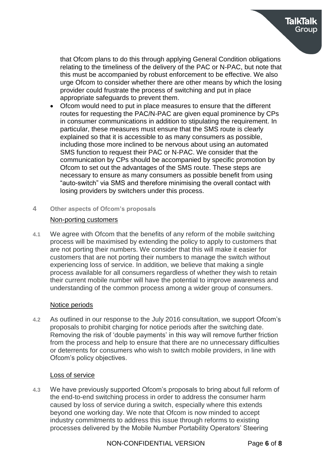that Ofcom plans to do this through applying General Condition obligations relating to the timeliness of the delivery of the PAC or N-PAC, but note that this must be accompanied by robust enforcement to be effective. We also urge Ofcom to consider whether there are other means by which the losing provider could frustrate the process of switching and put in place appropriate safeguards to prevent them.

- Ofcom would need to put in place measures to ensure that the different routes for requesting the PAC/N-PAC are given equal prominence by CPs in consumer communications in addition to stipulating the requirement. In particular, these measures must ensure that the SMS route is clearly explained so that it is accessible to as many consumers as possible, including those more inclined to be nervous about using an automated SMS function to request their PAC or N-PAC. We consider that the communication by CPs should be accompanied by specific promotion by Ofcom to set out the advantages of the SMS route. These steps are necessary to ensure as many consumers as possible benefit from using "auto-switch" via SMS and therefore minimising the overall contact with losing providers by switchers under this process.
- **4 Other aspects of Ofcom's proposals**

## Non-porting customers

**4.1** We agree with Ofcom that the benefits of any reform of the mobile switching process will be maximised by extending the policy to apply to customers that are not porting their numbers. We consider that this will make it easier for customers that are not porting their numbers to manage the switch without experiencing loss of service. In addition, we believe that making a single process available for all consumers regardless of whether they wish to retain their current mobile number will have the potential to improve awareness and understanding of the common process among a wider group of consumers.

### Notice periods

**4.2** As outlined in our response to the July 2016 consultation, we support Ofcom's proposals to prohibit charging for notice periods after the switching date. Removing the risk of 'double payments' in this way will remove further friction from the process and help to ensure that there are no unnecessary difficulties or deterrents for consumers who wish to switch mobile providers, in line with Ofcom's policy objectives.

### Loss of service

**4.3** We have previously supported Ofcom's proposals to bring about full reform of the end-to-end switching process in order to address the consumer harm caused by loss of service during a switch, especially where this extends beyond one working day. We note that Ofcom is now minded to accept industry commitments to address this issue through reforms to existing processes delivered by the Mobile Number Portability Operators' Steering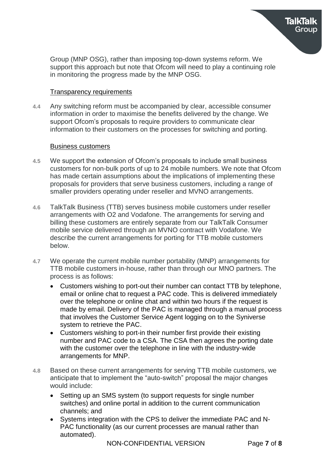

#### Transparency requirements

**4.4** Any switching reform must be accompanied by clear, accessible consumer information in order to maximise the benefits delivered by the change. We support Ofcom's proposals to require providers to communicate clear information to their customers on the processes for switching and porting.

#### Business customers

- **4.5** We support the extension of Ofcom's proposals to include small business customers for non-bulk ports of up to 24 mobile numbers. We note that Ofcom has made certain assumptions about the implications of implementing these proposals for providers that serve business customers, including a range of smaller providers operating under reseller and MVNO arrangements.
- **4.6** TalkTalk Business (TTB) serves business mobile customers under reseller arrangements with O2 and Vodafone. The arrangements for serving and billing these customers are entirely separate from our TalkTalk Consumer mobile service delivered through an MVNO contract with Vodafone. We describe the current arrangements for porting for TTB mobile customers below.
- **4.7** We operate the current mobile number portability (MNP) arrangements for TTB mobile customers in-house, rather than through our MNO partners. The process is as follows:
	- Customers wishing to port-out their number can contact TTB by telephone, email or online chat to request a PAC code. This is delivered immediately over the telephone or online chat and within two hours if the request is made by email. Delivery of the PAC is managed through a manual process that involves the Customer Service Agent logging on to the Syniverse system to retrieve the PAC.
	- Customers wishing to port-in their number first provide their existing number and PAC code to a CSA. The CSA then agrees the porting date with the customer over the telephone in line with the industry-wide arrangements for MNP.
- **4.8** Based on these current arrangements for serving TTB mobile customers, we anticipate that to implement the "auto-switch" proposal the major changes would include:
	- Setting up an SMS system (to support requests for single number switches) and online portal in addition to the current communication channels; and
	- Systems integration with the CPS to deliver the immediate PAC and N-PAC functionality (as our current processes are manual rather than automated).

Group